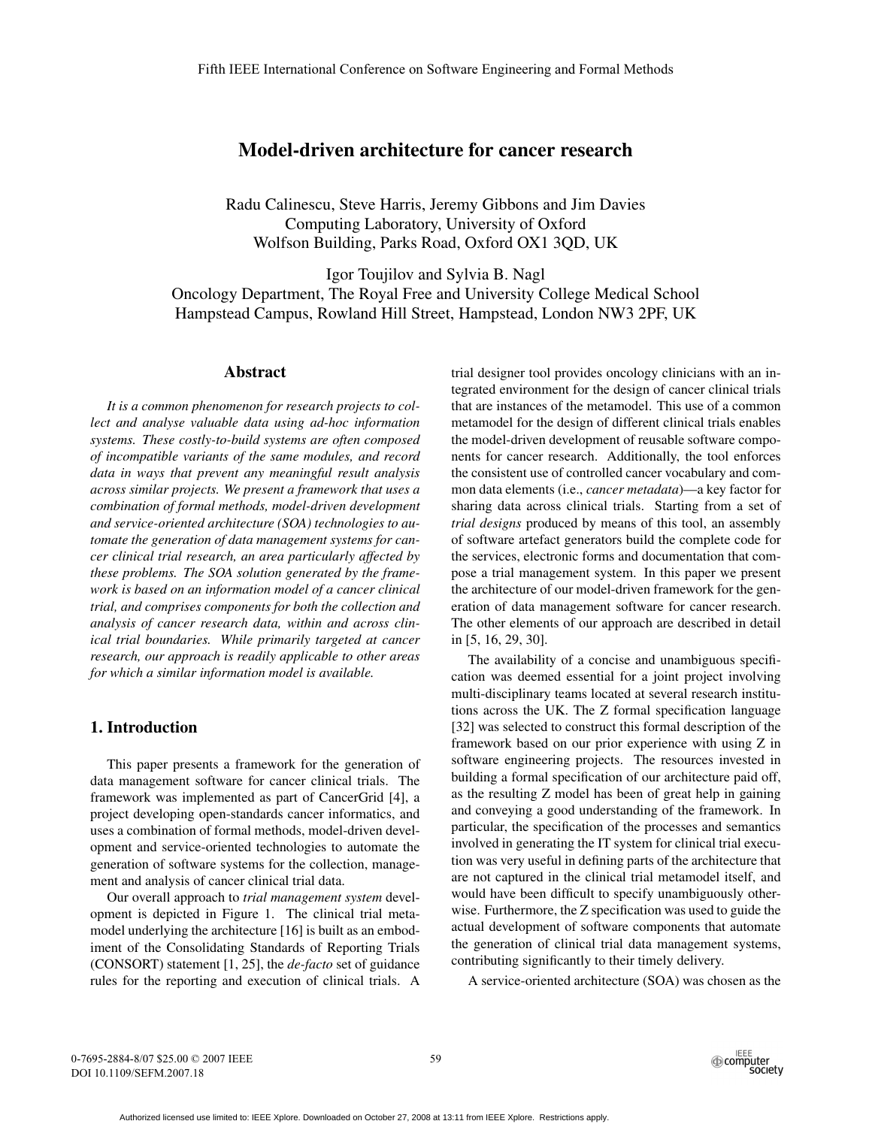# Model-driven architecture for cancer research

Radu Calinescu, Steve Harris, Jeremy Gibbons and Jim Davies Computing Laboratory, University of Oxford Wolfson Building, Parks Road, Oxford OX1 3QD, UK

Igor Toujilov and Sylvia B. Nagl Oncology Department, The Royal Free and University College Medical School Hampstead Campus, Rowland Hill Street, Hampstead, London NW3 2PF, UK

### Abstract

*It is a common phenomenon for research projects to collect and analyse valuable data using ad-hoc information systems. These costly-to-build systems are often composed of incompatible variants of the same modules, and record data in ways that prevent any meaningful result analysis across similar projects. We present a framework that uses a combination of formal methods, model-driven development and service-oriented architecture (SOA) technologies to automate the generation of data management systems for cancer clinical trial research, an area particularly affected by these problems. The SOA solution generated by the framework is based on an information model of a cancer clinical trial, and comprises components for both the collection and analysis of cancer research data, within and across clinical trial boundaries. While primarily targeted at cancer research, our approach is readily applicable to other areas for which a similar information model is available.*

# 1. Introduction

This paper presents a framework for the generation of data management software for cancer clinical trials. The framework was implemented as part of CancerGrid [4], a project developing open-standards cancer informatics, and uses a combination of formal methods, model-driven development and service-oriented technologies to automate the generation of software systems for the collection, management and analysis of cancer clinical trial data.

Our overall approach to *trial management system* development is depicted in Figure 1. The clinical trial metamodel underlying the architecture [16] is built as an embodiment of the Consolidating Standards of Reporting Trials (CONSORT) statement [1, 25], the *de-facto* set of guidance rules for the reporting and execution of clinical trials. A

trial designer tool provides oncology clinicians with an integrated environment for the design of cancer clinical trials that are instances of the metamodel. This use of a common metamodel for the design of different clinical trials enables the model-driven development of reusable software components for cancer research. Additionally, the tool enforces the consistent use of controlled cancer vocabulary and common data elements (i.e., *cancer metadata*)—a key factor for sharing data across clinical trials. Starting from a set of *trial designs* produced by means of this tool, an assembly of software artefact generators build the complete code for the services, electronic forms and documentation that compose a trial management system. In this paper we present the architecture of our model-driven framework for the generation of data management software for cancer research. The other elements of our approach are described in detail in [5, 16, 29, 30].

The availability of a concise and unambiguous specification was deemed essential for a joint project involving multi-disciplinary teams located at several research institutions across the UK. The Z formal specification language [32] was selected to construct this formal description of the framework based on our prior experience with using Z in software engineering projects. The resources invested in building a formal specification of our architecture paid off, as the resulting Z model has been of great help in gaining and conveying a good understanding of the framework. In particular, the specification of the processes and semantics involved in generating the IT system for clinical trial execution was very useful in defining parts of the architecture that are not captured in the clinical trial metamodel itself, and would have been difficult to specify unambiguously otherwise. Furthermore, the Z specification was used to guide the actual development of software components that automate the generation of clinical trial data management systems, contributing significantly to their timely delivery.

A service-oriented architecture (SOA) was chosen as the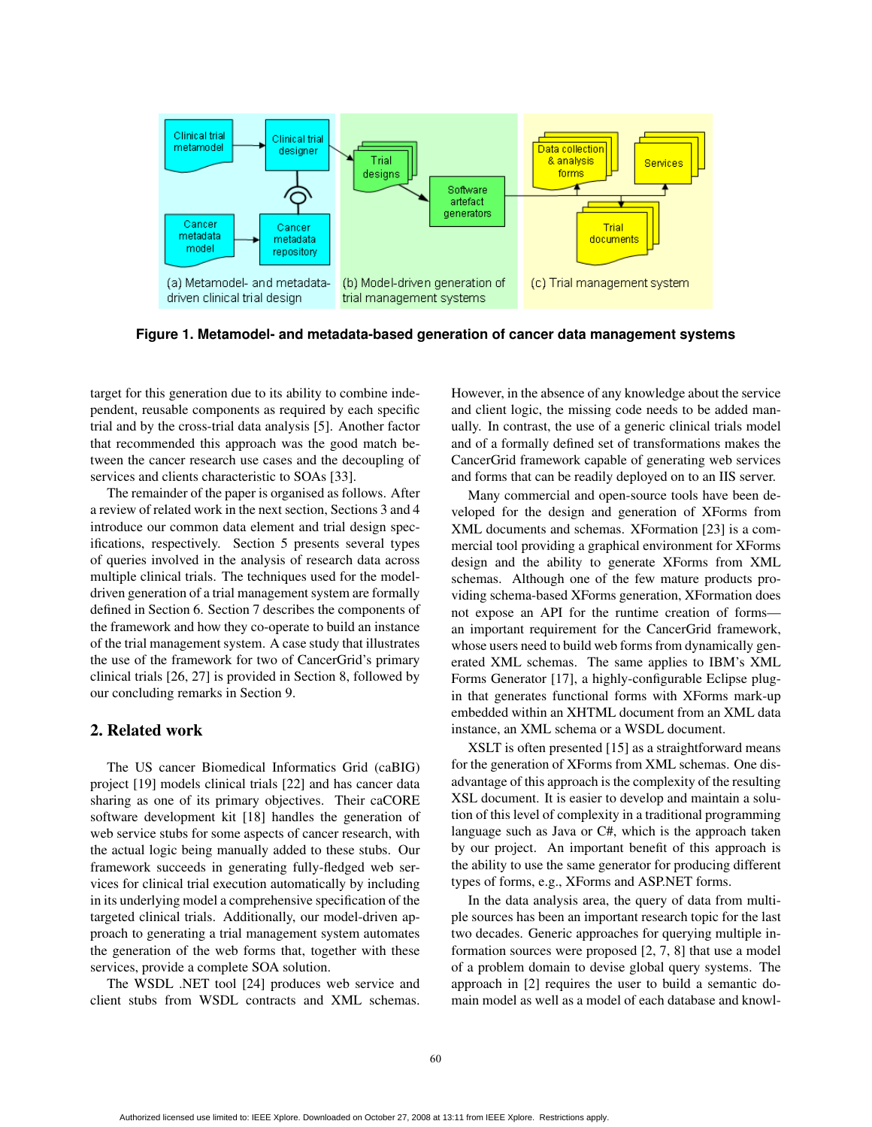

**Figure 1. Metamodel- and metadata-based generation of cancer data management systems**

target for this generation due to its ability to combine independent, reusable components as required by each specific trial and by the cross-trial data analysis [5]. Another factor that recommended this approach was the good match between the cancer research use cases and the decoupling of services and clients characteristic to SOAs [33].

The remainder of the paper is organised as follows. After a review of related work in the next section, Sections 3 and 4 introduce our common data element and trial design specifications, respectively. Section 5 presents several types of queries involved in the analysis of research data across multiple clinical trials. The techniques used for the modeldriven generation of a trial management system are formally defined in Section 6. Section 7 describes the components of the framework and how they co-operate to build an instance of the trial management system. A case study that illustrates the use of the framework for two of CancerGrid's primary clinical trials [26, 27] is provided in Section 8, followed by our concluding remarks in Section 9.

### 2. Related work

The US cancer Biomedical Informatics Grid (caBIG) project [19] models clinical trials [22] and has cancer data sharing as one of its primary objectives. Their caCORE software development kit [18] handles the generation of web service stubs for some aspects of cancer research, with the actual logic being manually added to these stubs. Our framework succeeds in generating fully-fledged web services for clinical trial execution automatically by including in its underlying model a comprehensive specification of the targeted clinical trials. Additionally, our model-driven approach to generating a trial management system automates the generation of the web forms that, together with these services, provide a complete SOA solution.

The WSDL .NET tool [24] produces web service and client stubs from WSDL contracts and XML schemas.

However, in the absence of any knowledge about the service and client logic, the missing code needs to be added manually. In contrast, the use of a generic clinical trials model and of a formally defined set of transformations makes the CancerGrid framework capable of generating web services and forms that can be readily deployed on to an IIS server.

Many commercial and open-source tools have been developed for the design and generation of XForms from XML documents and schemas. XFormation [23] is a commercial tool providing a graphical environment for XForms design and the ability to generate XForms from XML schemas. Although one of the few mature products providing schema-based XForms generation, XFormation does not expose an API for the runtime creation of forms an important requirement for the CancerGrid framework, whose users need to build web forms from dynamically generated XML schemas. The same applies to IBM's XML Forms Generator [17], a highly-configurable Eclipse plugin that generates functional forms with XForms mark-up embedded within an XHTML document from an XML data instance, an XML schema or a WSDL document.

XSLT is often presented [15] as a straightforward means for the generation of XForms from XML schemas. One disadvantage of this approach is the complexity of the resulting XSL document. It is easier to develop and maintain a solution of this level of complexity in a traditional programming language such as Java or C#, which is the approach taken by our project. An important benefit of this approach is the ability to use the same generator for producing different types of forms, e.g., XForms and ASP.NET forms.

In the data analysis area, the query of data from multiple sources has been an important research topic for the last two decades. Generic approaches for querying multiple information sources were proposed [2, 7, 8] that use a model of a problem domain to devise global query systems. The approach in [2] requires the user to build a semantic domain model as well as a model of each database and knowl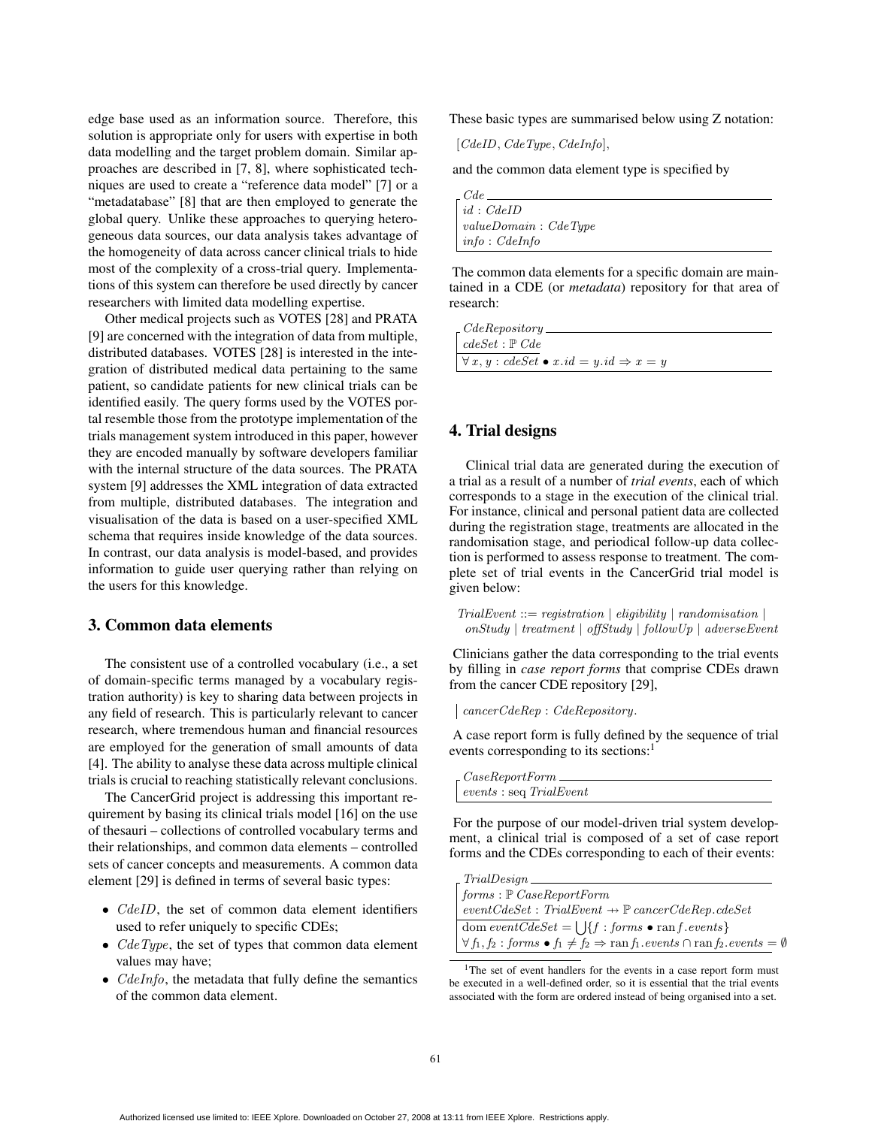edge base used as an information source. Therefore, this solution is appropriate only for users with expertise in both data modelling and the target problem domain. Similar approaches are described in [7, 8], where sophisticated techniques are used to create a "reference data model" [7] or a "metadatabase" [8] that are then employed to generate the global query. Unlike these approaches to querying heterogeneous data sources, our data analysis takes advantage of the homogeneity of data across cancer clinical trials to hide most of the complexity of a cross-trial query. Implementations of this system can therefore be used directly by cancer researchers with limited data modelling expertise.

Other medical projects such as VOTES [28] and PRATA [9] are concerned with the integration of data from multiple, distributed databases. VOTES [28] is interested in the integration of distributed medical data pertaining to the same patient, so candidate patients for new clinical trials can be identified easily. The query forms used by the VOTES portal resemble those from the prototype implementation of the trials management system introduced in this paper, however they are encoded manually by software developers familiar with the internal structure of the data sources. The PRATA system [9] addresses the XML integration of data extracted from multiple, distributed databases. The integration and visualisation of the data is based on a user-specified XML schema that requires inside knowledge of the data sources. In contrast, our data analysis is model-based, and provides information to guide user querying rather than relying on the users for this knowledge.

# 3. Common data elements

The consistent use of a controlled vocabulary (i.e., a set of domain-specific terms managed by a vocabulary registration authority) is key to sharing data between projects in any field of research. This is particularly relevant to cancer research, where tremendous human and financial resources are employed for the generation of small amounts of data [4]. The ability to analyse these data across multiple clinical trials is crucial to reaching statistically relevant conclusions.

The CancerGrid project is addressing this important requirement by basing its clinical trials model [16] on the use of thesauri – collections of controlled vocabulary terms and their relationships, and common data elements – controlled sets of cancer concepts and measurements. A common data element [29] is defined in terms of several basic types:

- *CdeID*, the set of common data element identifiers used to refer uniquely to specific CDEs;
- $CdeType$ , the set of types that common data element values may have;
- $CdeInfo$ , the metadata that fully define the semantics of the common data element.

These basic types are summarised below using Z notation:

 $[CdeID, CdeType, CdeInfo],$ 

and the common data element type is specified by

| $\Box$ $Cde \Box$    |
|----------------------|
| $\mid id : CdeID$    |
| valueDomain: CdeType |
| $ $ info: CdeInfo    |

The common data elements for a specific domain are maintained in a CDE (or *metadata*) repository for that area of research:

| $\Gamma$ CdeRepository.                                       |  |
|---------------------------------------------------------------|--|
| $\vdash cdeSet : \mathbb{P} \text{ } Cde$                     |  |
|                                                               |  |
| $\forall x, y : cdeSet \bullet x.id = y.id \Rightarrow x = y$ |  |
|                                                               |  |

# 4. Trial designs

Clinical trial data are generated during the execution of a trial as a result of a number of *trial events*, each of which corresponds to a stage in the execution of the clinical trial. For instance, clinical and personal patient data are collected during the registration stage, treatments are allocated in the randomisation stage, and periodical follow-up data collection is performed to assess response to treatment. The complete set of trial events in the CancerGrid trial model is given below:

 $TrialEvent ::= registration \mid eligibility \mid randomisation \mid$  $onStudy \mid treatment \mid offStudy \mid followUp \mid adverseEvent$ 

Clinicians gather the data corresponding to the trial events by filling in *case report forms* that comprise CDEs drawn from the cancer CDE repository [29],

cancerCdeRep : CdeRepository.

A case report form is fully defined by the sequence of trial events corresponding to its sections:<sup>1</sup>

| $\sqrt{CaseReportForm}$         |  |
|---------------------------------|--|
| $\vert$ events : seq TrialEvent |  |
|                                 |  |

For the purpose of our model-driven trial system development, a clinical trial is composed of a set of case report forms and the CDEs corresponding to each of their events:

| $-TrialDesign -$                                                                                                                                    |  |
|-----------------------------------------------------------------------------------------------------------------------------------------------------|--|
| $\mid forms : \mathbb{P} \text{ } Case ReportForm$                                                                                                  |  |
| $\vert$ eventCdeSet: TrialEvent $\rightarrow \mathbb{P}$ cancerCdeRep.cdeSet                                                                        |  |
| $\vert$ dom eventCdeSet = $\vert$ $\vert$ {f : forms • ranf.events}                                                                                 |  |
| $\forall f_1, f_2 : \text{forms} \bullet f_1 \neq f_2 \Rightarrow \text{ran } f_1 \text{. events} \cap \text{ran } f_2 \text{. events} = \emptyset$ |  |

<sup>&</sup>lt;sup>1</sup>The set of event handlers for the events in a case report form must be executed in a well-defined order, so it is essential that the trial events associated with the form are ordered instead of being organised into a set.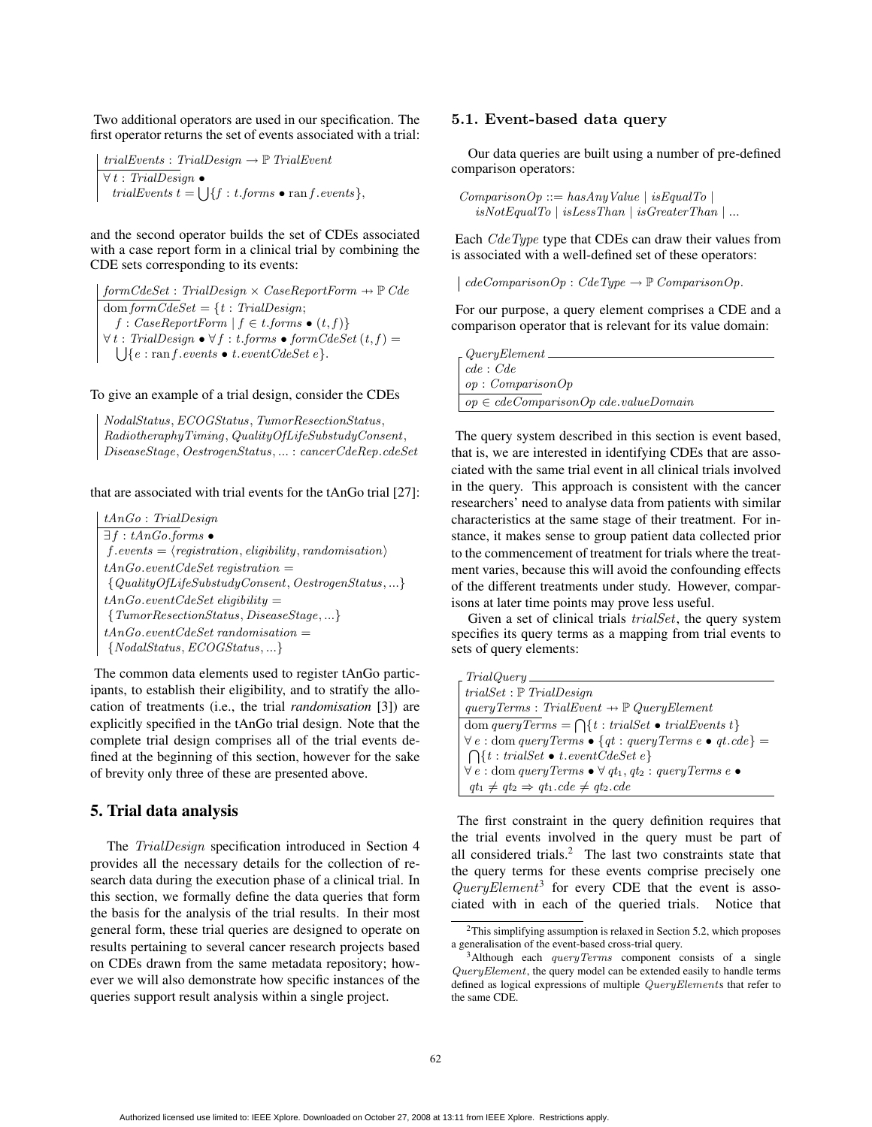Two additional operators are used in our specification. The first operator returns the set of events associated with a trial:

 $trialEvents: TrialDesign \rightarrow \mathbb{P} \left( TriallEvent \right)$  $\forall t$  : TrialDesign  $\bullet$ trialEvents  $t = \iint f : t \text{ for } t$  • ran f .events },

and the second operator builds the set of CDEs associated with a case report form in a clinical trial by combining the CDE sets corresponding to its events:

 $\label{eq:form} form CdeSet: \; Trial Design \times \, Case Report Form \, \rightarrow \, \mathbb{P} \; Cde$ dom form $CdeSet = \{t : \text{TrialDesign:}\}\$ f : CaseReportForm  $| f \in t \text{.forms} \bullet (t, f) \}$  $\forall t : \text{TrialDesign} \bullet \forall f : t \text{. forms} \bullet \text{ form} \text{C} \text{d} \text{e} \text{Set} \text{ } (t, f) =$  $S: \text{ }TrialDesign \bullet \forall f : t \text{.forms} \bullet \text{ } formCdeSet \left(t, f\right) = \bigcup \{e : \text{ran } f \text{. events} \bullet \text{ } t \text{.eventCdeSet} \, e\}.$ 

#### To give an example of a trial design, consider the CDEs

NodalStatus,ECOGStatus, TumorResectionStatus, RadiotheraphyTiming, QualityOfLifeSubstudyConsent, DiseaseStage, OestrogenStatus, ... : cancerCdeRep.cdeSet

#### that are associated with trial events for the tAnGo trial [27]:

tAnGo : TrialDesign  $\exists f : tAnGo-forms \bullet$  $f.events = \langle registration, eligibility, randomisation \rangle$  $tAnGo.eventCdeSet$  registration  $=$ {QualityOfLifeSubstudyConsent, OestrogenStatus, ...}  $tAnGo.eventCdeSet \; eligibility =$ {TumorResectionStatus, DiseaseStage, ...}  $tAnGo.eventCdeSet randomisation =$  $\{NodalStatus, ECOGStatus, ...\}$ 

The common data elements used to register tAnGo participants, to establish their eligibility, and to stratify the allocation of treatments (i.e., the trial *randomisation* [3]) are explicitly specified in the tAnGo trial design. Note that the complete trial design comprises all of the trial events defined at the beginning of this section, however for the sake of brevity only three of these are presented above.

### 5. Trial data analysis

The TrialDesign specification introduced in Section 4 provides all the necessary details for the collection of research data during the execution phase of a clinical trial. In this section, we formally define the data queries that form the basis for the analysis of the trial results. In their most general form, these trial queries are designed to operate on results pertaining to several cancer research projects based on CDEs drawn from the same metadata repository; however we will also demonstrate how specific instances of the queries support result analysis within a single project.

#### 5.1. Event-based data query

Our data queries are built using a number of pre-defined comparison operators:

 $ComparisonOp ::= hasAnyValue | isEqualTo |$  $isNot EqualTo | isLess Than | is Greater Than | ...$ 

Each *CdeType* type that CDEs can draw their values from is associated with a well-defined set of these operators:

 $\vert$  cdeComparisonOp : CdeType  $\rightarrow \mathbb{P}$  ComparisonOp.

For our purpose, a query element comprises a CDE and a comparison operator that is relevant for its value domain:

| $\it QueryElement$ .                     |  |
|------------------------------------------|--|
| cde: Cde                                 |  |
| op: ComparisonOp                         |  |
| $op \in cdeComparisonOp$ cde.valueDomain |  |
|                                          |  |

The query system described in this section is event based, that is, we are interested in identifying CDEs that are associated with the same trial event in all clinical trials involved in the query. This approach is consistent with the cancer researchers' need to analyse data from patients with similar characteristics at the same stage of their treatment. For instance, it makes sense to group patient data collected prior to the commencement of treatment for trials where the treatment varies, because this will avoid the confounding effects of the different treatments under study. However, comparisons at later time points may prove less useful.

Given a set of clinical trials *trialSet*, the query system specifies its query terms as a mapping from trial events to sets of query elements:

| $_$ rial $Query_$                                                                     |
|---------------------------------------------------------------------------------------|
| $trialSet: \mathbb{P} \text{ } TrialDesign$                                           |
| $queryTerms: TrialEvent \rightarrow \mathbb{P} \text{QueryElement}$                   |
| dom query Terms = $\bigcap \{t : \text{trialSet} \bullet \text{trialEvents } t\}$     |
| $\forall e : \text{dom queryTerms} \bullet \{ qt : queryTerms e \bullet qt. cde \} =$ |
| $\bigcap \{t : \text{trialSet} \bullet t \text{.event} \textit{CdeSet} \ e\}$         |
| $\forall e : \text{dom queryTerms} \bullet \forall qt_1, qt_2 : queryTerms e \bullet$ |
| $qt_1 \neq qt_2 \Rightarrow qt_1. cde \neq qt_2. cde$                                 |

The first constraint in the query definition requires that the trial events involved in the query must be part of all considered trials.<sup>2</sup> The last two constraints state that the query terms for these events comprise precisely one  $QueryElement^3$  for every CDE that the event is associated with in each of the queried trials. Notice that

<sup>2</sup>This simplifying assumption is relaxed in Section 5.2, which proposes a generalisation of the event-based cross-trial query.

 $3$ Although each *queryTerms* component consists of a single QueryElement, the query model can be extended easily to handle terms defined as logical expressions of multiple QueryElements that refer to the same CDE.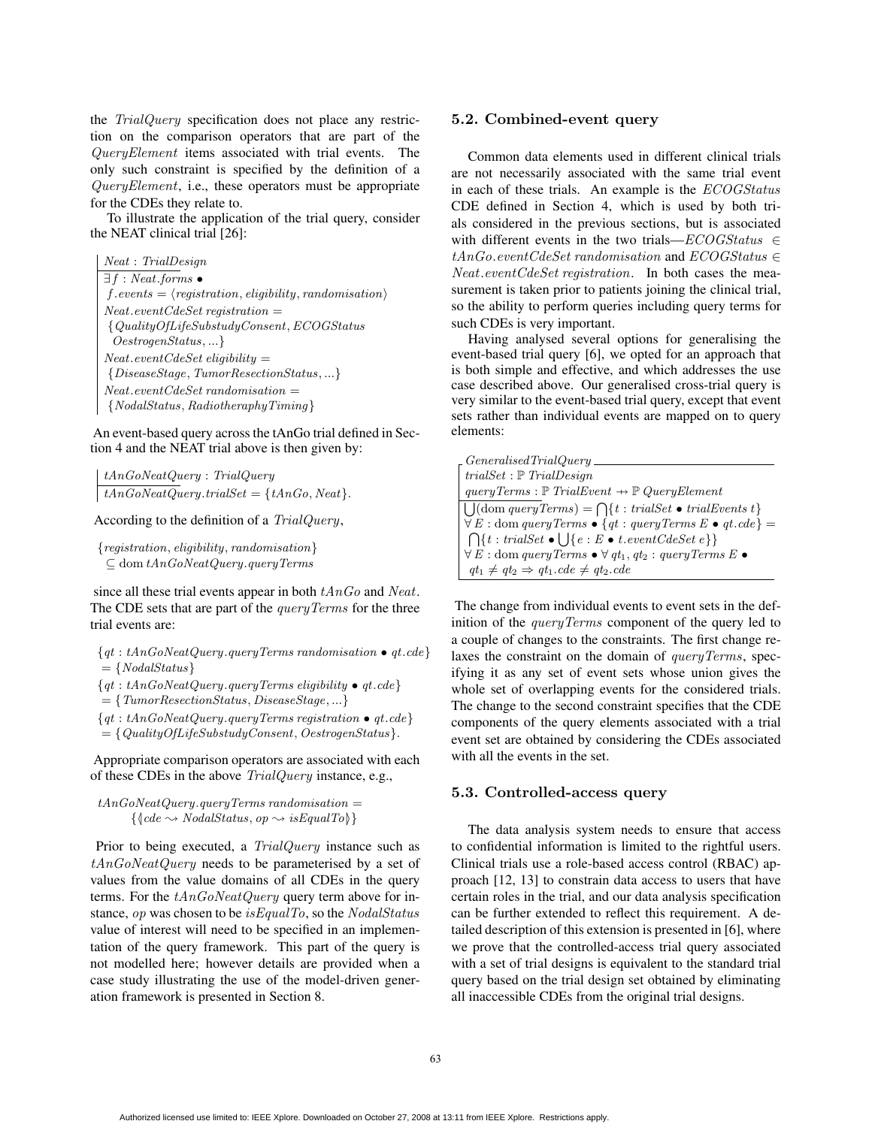the TrialQuery specification does not place any restriction on the comparison operators that are part of the QueryElement items associated with trial events. The only such constraint is specified by the definition of a QueryElement, i.e., these operators must be appropriate for the CDEs they relate to.

To illustrate the application of the trial query, consider the NEAT clinical trial [26]:

Neat : TrialDesign  $\exists f : Neat. \textit{forms} \bullet$  $f.events = \langle registration, eligibility, randomisation \rangle$  $Neat.eventCdeSet$  registration  $=$  ${ \{QualityOf LifeSubstudyConsent, ECOG Status}$ OestrogenStatus, ...}  $Neat.eventCdeSet$  eligibility = {DiseaseStage, TumorResectionStatus, ...}  $Neat.eventCdeSet randomisation =$ {NodalStatus, RadiotheraphyTiming}

An event-based query across the tAnGo trial defined in Section 4 and the NEAT trial above is then given by:

tAnGoNeatQuery : TrialQuery  $tAnGoNeatQuery. trialSet = \{tAnGo, Next\}.$ 

According to the definition of a TrialQuery,

{registration, eligibility, randomisation}  $\subseteq$  dom  $tAnGoNeatQuery.queryTerms$ 

since all these trial events appear in both  $tAnGo$  and Neat. The CDE sets that are part of the *queryTerms* for the three trial events are:

 ${qt : tAnGoNeatQuery.queryTerms randomisation \bullet qt. cde}$  $=\{NodalStatus\}$ 

 ${qt : tAnGoNeatQuery.queryTerms\; eligibility\bullet qt. cde}$  $=\{Tumor ResearchO (S) takes the number of 10000000, and the number of 1000000000, respectively.$ 

 ${qt: tAnGoNeatQuery.queryTerms\,\, registration\,\bullet\,qt. cde\}$  $=\{QualityOf LifeSubstudyConsent, Oestrogen Status\}.$ 

Appropriate comparison operators are associated with each of these CDEs in the above TrialQuery instance, e.g.,

 $tAnGoNeatQuery. query Terms randomisation =$  $\{ \langle cde \leadsto NodaI Status, op \leadsto isEqualTo \rangle \}$ 

Prior to being executed, a *TrialQuery* instance such as  $tAnGoNeatQuery$  needs to be parameterised by a set of values from the value domains of all CDEs in the query terms. For the  $tAnGoNeatQuery$  query term above for instance, op was chosen to be isEqualTo, so the NodalStatus value of interest will need to be specified in an implementation of the query framework. This part of the query is not modelled here; however details are provided when a case study illustrating the use of the model-driven generation framework is presented in Section 8.

#### 5.2. Combined-event query

Common data elements used in different clinical trials are not necessarily associated with the same trial event in each of these trials. An example is the ECOGStatus CDE defined in Section 4, which is used by both trials considered in the previous sections, but is associated with different events in the two trials— $ECOGS tatus \in$  $tAnGo.eventCdeSet randomisation$  and  $ECOGStatus \in$ Neat.eventCdeSet registration. In both cases the measurement is taken prior to patients joining the clinical trial, so the ability to perform queries including query terms for such CDEs is very important.

Having analysed several options for generalising the event-based trial query [6], we opted for an approach that is both simple and effective, and which addresses the use case described above. Our generalised cross-trial query is very similar to the event-based trial query, except that event sets rather than individual events are mapped on to query elements:

| $\Gamma$ Generalised TrialQuery                                                                  |
|--------------------------------------------------------------------------------------------------|
| $trialSet$ : ${\mathbb P}$ $Trial Design$                                                        |
| query Terms : $\mathbb P$ Trial Event $\rightarrow \mathbb P$ Query Element                      |
| $\bigcup$ (dom query Terms) = $\bigcap$ { t : trialSet • trialEvents t}                          |
| $\forall E : \text{dom queryTerms} \bullet \{qt : queryTerms \in \mathfrak{g} \} =$              |
| $\bigcap \{t : \mathit{trialSet} \bullet \cup \} \{e : E \bullet t \mathit{.eventCdeSet} e\} \}$ |
| $\forall E : \text{dom queryTerms} \bullet \forall q t_1, q t_2 : query Terms E \bullet$         |
| $qt_1 \neq qt_2 \Rightarrow qt_1, cde \neq qt_2, cde$                                            |

The change from individual events to event sets in the definition of the *queryTerms* component of the query led to a couple of changes to the constraints. The first change relaxes the constraint on the domain of queryTerms, specifying it as any set of event sets whose union gives the whole set of overlapping events for the considered trials. The change to the second constraint specifies that the CDE components of the query elements associated with a trial event set are obtained by considering the CDEs associated with all the events in the set.

#### 5.3. Controlled-access query

The data analysis system needs to ensure that access to confidential information is limited to the rightful users. Clinical trials use a role-based access control (RBAC) approach [12, 13] to constrain data access to users that have certain roles in the trial, and our data analysis specification can be further extended to reflect this requirement. A detailed description of this extension is presented in [6], where we prove that the controlled-access trial query associated with a set of trial designs is equivalent to the standard trial query based on the trial design set obtained by eliminating all inaccessible CDEs from the original trial designs.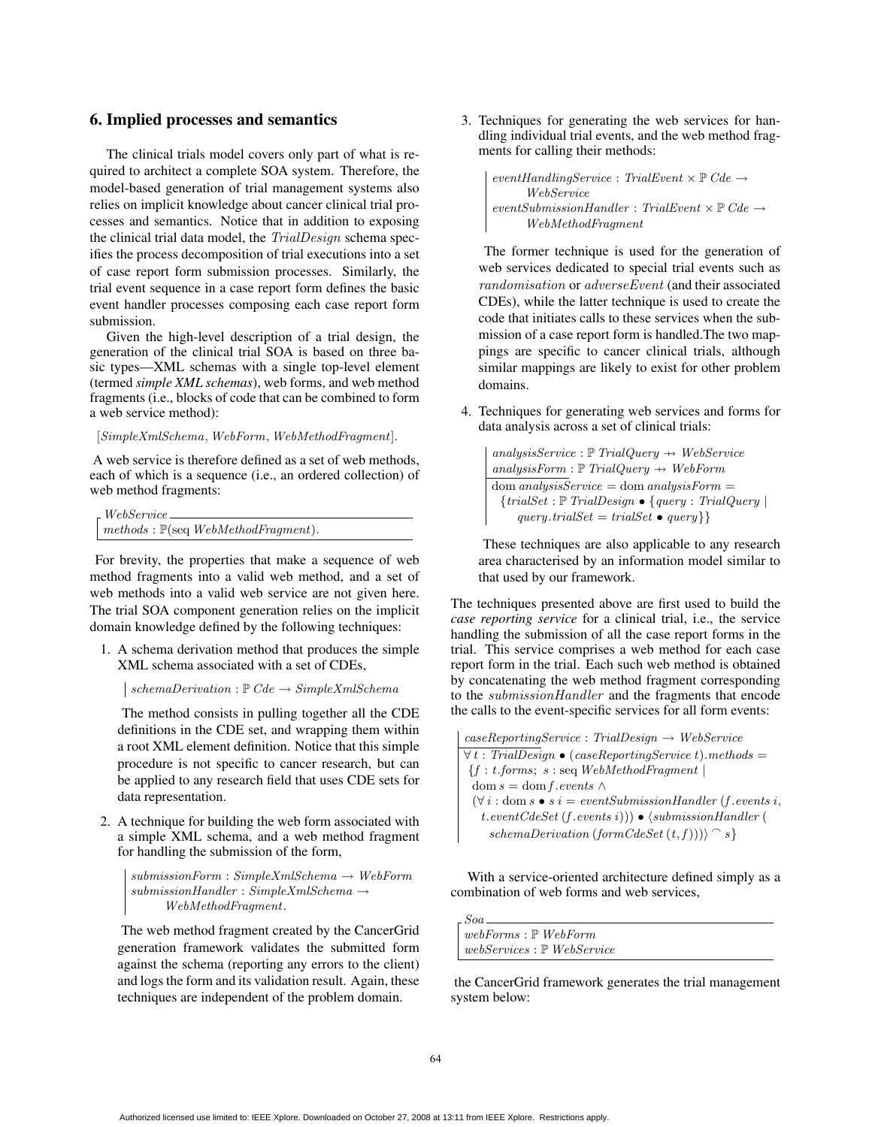#### 6. Implied processes and semantics

The clinical trials model covers only part of what is required to architect a complete SOA system. Therefore, the model-based generation of trial management systems also relies on implicit knowledge about cancer clinical trial processes and semantics. Notice that in addition to exposing the clinical trial data model, the TrialDesign schema specifies the process decomposition of trial executions into a set of case report form submission processes. Similarly, the trial event sequence in a case report form defines the basic event handler processes composing each case report form submission.

Given the high-level description of a trial design, the generation of the clinical trial SOA is based on three basic types—XML schemas with a single top-level element (termed *simple XML schemas*), web forms, and web method fragments (i.e., blocks of code that can be combined to form a web service method):

[SimpleXmlSchema, WebForm, WebMethodFragment].

A web service is therefore defined as a set of web methods, each of which is a sequence (i.e., an ordered collection) of web method fragments:

WebService  $methods: \mathbb{P}(\text{seq }WebMethodFragment).$ 

For brevity, the properties that make a sequence of web method fragments into a valid web method, and a set of web methods into a valid web service are not given here. The trial SOA component generation relies on the implicit domain knowledge defined by the following techniques:

1. A schema derivation method that produces the simple XML schema associated with a set of CDEs,

 $\vert \; schemaDerivation : \mathbb{P} \; Cde \rightarrow SimpleXmlSchema$ 

The method consists in pulling together all the CDE definitions in the CDE set, and wrapping them within a root XML element definition. Notice that this simple procedure is not specific to cancer research, but can be applied to any research field that uses CDE sets for data representation.

2. A technique for building the web form associated with a simple XML schema, and a web method fragment for handling the submission of the form,

 $submissionForm: SimpleXmlSchem \rightarrow WebForm$  $submissionHandler : SimpleXmlSchema \rightarrow$ WebMethodFragment.

The web method fragment created by the CancerGrid generation framework validates the submitted form against the schema (reporting any errors to the client) and logs the form and its validation result. Again, these techniques are independent of the problem domain.

3. Techniques for generating the web services for handling individual trial events, and the web method fragments for calling their methods:

```
eventHandlingService: TrialEvent \times \mathbb{P} \textit{Cde} \rightarrowWebService
\label{eq:1} eventSubmissionHandler: \; TralEvent \times \mathbb{P} \; Cde \rightarrowWebMethodFragment
```
The former technique is used for the generation of web services dedicated to special trial events such as randomisation or adverseEvent (and their associated CDEs), while the latter technique is used to create the code that initiates calls to these services when the submission of a case report form is handled.The two mappings are specific to cancer clinical trials, although similar mappings are likely to exist for other problem domains.

4. Techniques for generating web services and forms for data analysis across a set of clinical trials:

 $analysisService : \mathbb{P} \text{ }TrialQuery \rightarrow \text{ } WebService$  $analysisForm : \mathbb{P} \text{ }TrialQuery \rightarrow WebForm$  $dom analysisService = dom analysisForm =$  ${trialSet : \mathbb{P} \text{ } TrialDesign \bullet} \{ query : \text{ }TrialQuery } |$  $query.trainSet = trialSet \bullet query \}$ 

These techniques are also applicable to any research area characterised by an information model similar to that used by our framework.

The techniques presented above are first used to build the *case reporting service* for a clinical trial, i.e., the service handling the submission of all the case report forms in the trial. This service comprises a web method for each case report form in the trial. Each such web method is obtained by concatenating the web method fragment corresponding to the submissionHandler and the fragments that encode the calls to the event-specific services for all form events:

 $caseReportingService: \text{TrialDesign} \rightarrow \text{WebService}$  $\forall t : \text{TrialDesign} \bullet (caseReportingService t).methods =$  ${f : t. forms; s : seqWebMethodFragment}$ dom  $s =$ dom f.events ∧  $(\forall i : \text{dom } s \bullet s \ i = eventSubmissionHandler (f. events i,$  $t.eventCdeSet (f. events i))$   $\bullet$   $\langle submissionHandler ($ schemaDerivation (formCdeSet  $(t, f))$ ) $\cap$  s}

With a service-oriented architecture defined simply as a combination of web forms and web services,

| Soa                                         |
|---------------------------------------------|
| $\mid$ webForms : $\mathbb P$ WebForm       |
| $\mid$ webServices : $\mathbb P$ WebService |

the CancerGrid framework generates the trial management system below: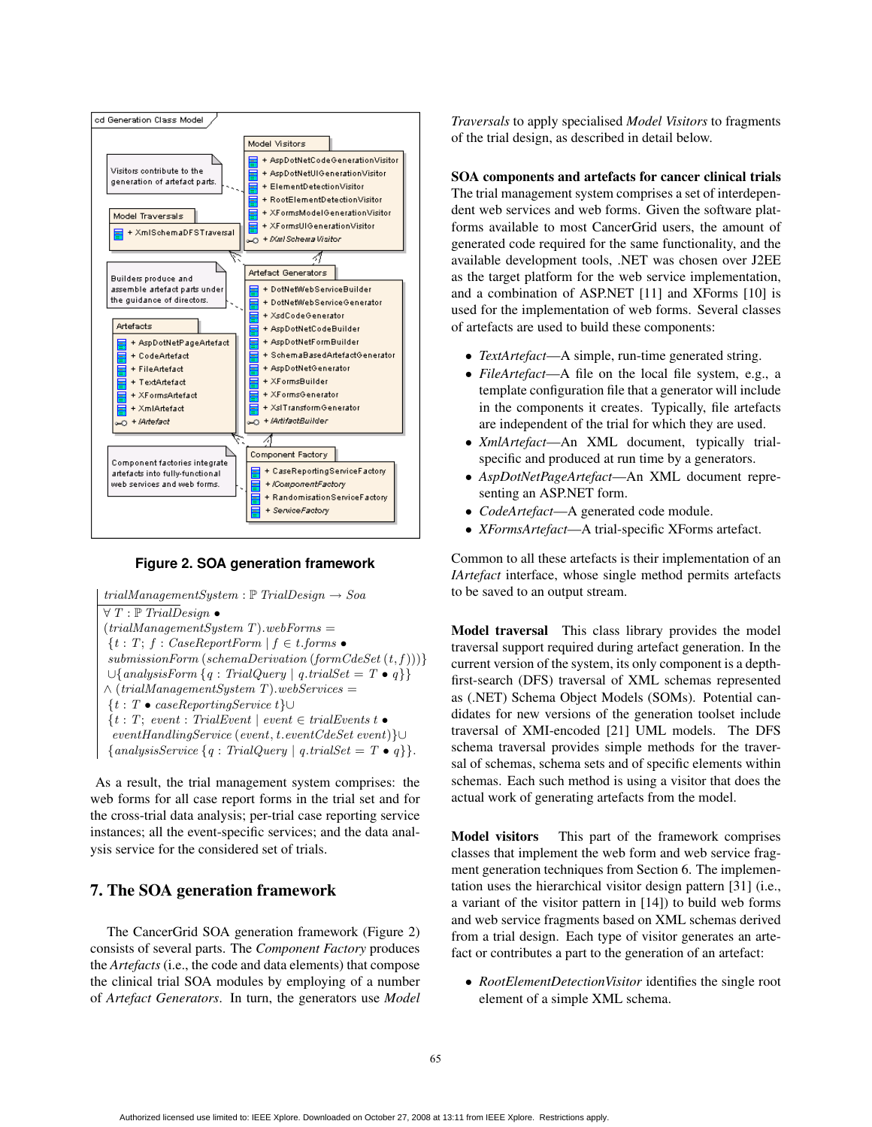

### **Figure 2. SOA generation framework**

```
trialManagermentsystem: \mathbb{P} \left[ \right. TrialDesign \rightarrow Soa\forall T : \mathbb{P} TrialDesign \bullet(trialManagementSystem T).web Forms ={t : T; f : CaseReportForm \mid f \in t \text{.} forms}submissionForm (schemaDerivation (formC deset (t, f)))∪{analysisForm {q : TrialQuery | q.trialSet = T • q}}
\wedge (trialManagementSystem T).webServices =
{t : T • caseReportingService t}∪
{t : T; event : TrialEvent \mid event \in trialEvents \bulleteventHandlingService (event, t.eventCdeSet event)}∪
{analysisService {q : TrialQuery | q.trialSet = T \bullet q } }.
```
As a result, the trial management system comprises: the web forms for all case report forms in the trial set and for the cross-trial data analysis; per-trial case reporting service instances; all the event-specific services; and the data analysis service for the considered set of trials.

# 7. The SOA generation framework

The CancerGrid SOA generation framework (Figure 2) consists of several parts. The *Component Factory* produces the *Artefacts* (i.e., the code and data elements) that compose the clinical trial SOA modules by employing of a number of *Artefact Generators*. In turn, the generators use *Model*

*Traversals* to apply specialised *Model Visitors* to fragments of the trial design, as described in detail below.

SOA components and artefacts for cancer clinical trials The trial management system comprises a set of interdependent web services and web forms. Given the software platforms available to most CancerGrid users, the amount of generated code required for the same functionality, and the available development tools, .NET was chosen over J2EE as the target platform for the web service implementation, and a combination of ASP.NET [11] and XForms [10] is used for the implementation of web forms. Several classes of artefacts are used to build these components:

- *TextArtefact*—A simple, run-time generated string.
- *FileArtefact*—A file on the local file system, e.g., a template configuration file that a generator will include in the components it creates. Typically, file artefacts are independent of the trial for which they are used.
- *XmlArtefact*—An XML document, typically trialspecific and produced at run time by a generators.
- *AspDotNetPageArtefact*—An XML document representing an ASP.NET form.
- *CodeArtefact*—A generated code module.
- *XFormsArtefact*—A trial-specific XForms artefact.

Common to all these artefacts is their implementation of an *IArtefact* interface, whose single method permits artefacts to be saved to an output stream.

Model traversal This class library provides the model traversal support required during artefact generation. In the current version of the system, its only component is a depthfirst-search (DFS) traversal of XML schemas represented as (.NET) Schema Object Models (SOMs). Potential candidates for new versions of the generation toolset include traversal of XMI-encoded [21] UML models. The DFS schema traversal provides simple methods for the traversal of schemas, schema sets and of specific elements within schemas. Each such method is using a visitor that does the actual work of generating artefacts from the model.

Model visitors This part of the framework comprises classes that implement the web form and web service fragment generation techniques from Section 6. The implementation uses the hierarchical visitor design pattern [31] (i.e., a variant of the visitor pattern in [14]) to build web forms and web service fragments based on XML schemas derived from a trial design. Each type of visitor generates an artefact or contributes a part to the generation of an artefact:

• *RootElementDetectionVisitor* identifies the single root element of a simple XML schema.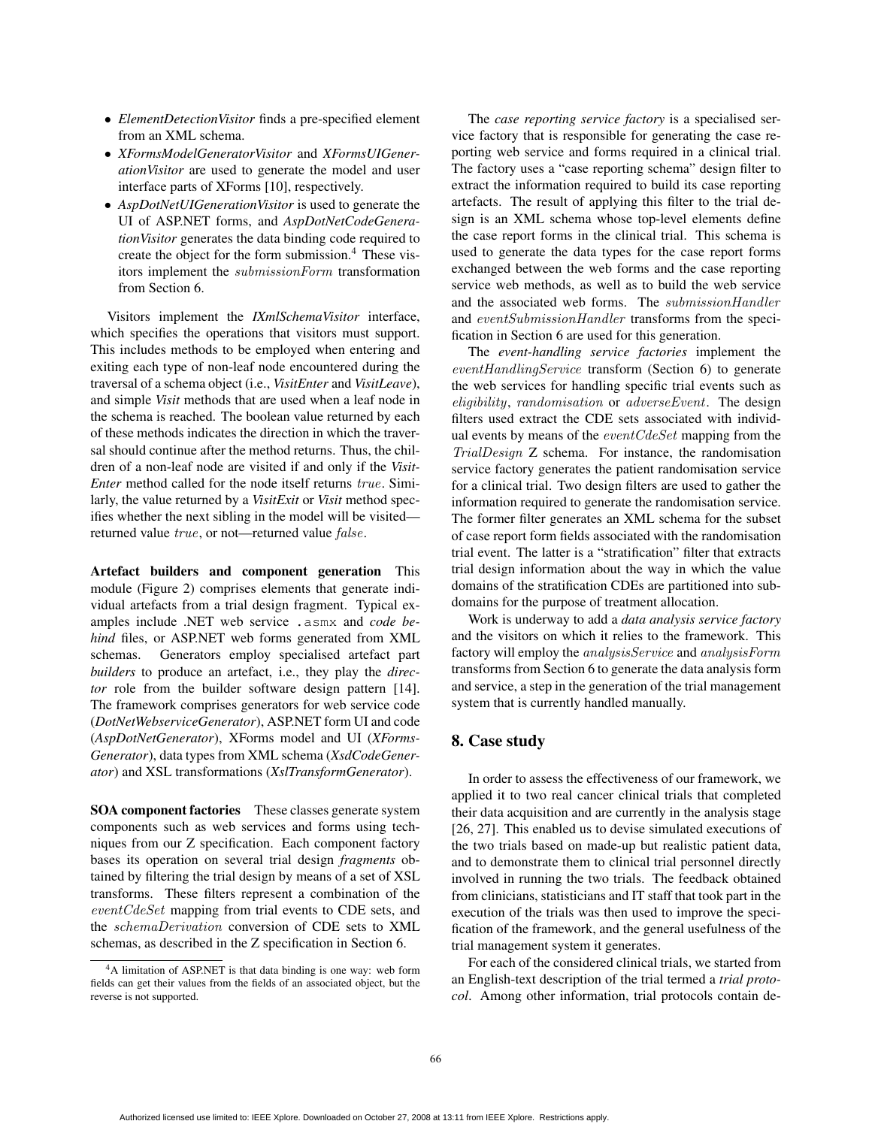- *ElementDetectionVisitor* finds a pre-specified element from an XML schema.
- *XFormsModelGeneratorVisitor* and *XFormsUIGenerationVisitor* are used to generate the model and user interface parts of XForms [10], respectively.
- *AspDotNetUIGenerationVisitor* is used to generate the UI of ASP.NET forms, and *AspDotNetCodeGenerationVisitor* generates the data binding code required to create the object for the form submission.<sup>4</sup> These visitors implement the submissionForm transformation from Section 6.

Visitors implement the *IXmlSchemaVisitor* interface, which specifies the operations that visitors must support. This includes methods to be employed when entering and exiting each type of non-leaf node encountered during the traversal of a schema object (i.e., *VisitEnter* and *VisitLeave*), and simple *Visit* methods that are used when a leaf node in the schema is reached. The boolean value returned by each of these methods indicates the direction in which the traversal should continue after the method returns. Thus, the children of a non-leaf node are visited if and only if the *Visit-Enter* method called for the node itself returns true. Similarly, the value returned by a *VisitExit* or *Visit* method specifies whether the next sibling in the model will be visited returned value true, or not—returned value false.

Artefact builders and component generation This module (Figure 2) comprises elements that generate individual artefacts from a trial design fragment. Typical examples include .NET web service .asmx and *code behind* files, or ASP.NET web forms generated from XML schemas. Generators employ specialised artefact part *builders* to produce an artefact, i.e., they play the *director* role from the builder software design pattern [14]. The framework comprises generators for web service code (*DotNetWebserviceGenerator*), ASP.NET form UI and code (*AspDotNetGenerator*), XForms model and UI (*XForms-Generator*), data types from XML schema (*XsdCodeGenerator*) and XSL transformations (*XslTransformGenerator*).

SOA component factories These classes generate system components such as web services and forms using techniques from our Z specification. Each component factory bases its operation on several trial design *fragments* obtained by filtering the trial design by means of a set of XSL transforms. These filters represent a combination of the eventCdeSet mapping from trial events to CDE sets, and the schemaDerivation conversion of CDE sets to XML schemas, as described in the Z specification in Section 6.

The *case reporting service factory* is a specialised service factory that is responsible for generating the case reporting web service and forms required in a clinical trial. The factory uses a "case reporting schema" design filter to extract the information required to build its case reporting artefacts. The result of applying this filter to the trial design is an XML schema whose top-level elements define the case report forms in the clinical trial. This schema is used to generate the data types for the case report forms exchanged between the web forms and the case reporting service web methods, as well as to build the web service and the associated web forms. The submissionHandler and eventSubmissionHandler transforms from the specification in Section 6 are used for this generation.

The *event-handling service factories* implement the eventHandlingService transform (Section 6) to generate the web services for handling specific trial events such as eligibility, randomisation or adverseEvent. The design filters used extract the CDE sets associated with individual events by means of the *eventCdeSet* mapping from the TrialDesign Z schema. For instance, the randomisation service factory generates the patient randomisation service for a clinical trial. Two design filters are used to gather the information required to generate the randomisation service. The former filter generates an XML schema for the subset of case report form fields associated with the randomisation trial event. The latter is a "stratification" filter that extracts trial design information about the way in which the value domains of the stratification CDEs are partitioned into subdomains for the purpose of treatment allocation.

Work is underway to add a *data analysis service factory* and the visitors on which it relies to the framework. This factory will employ the analysisService and analysisForm transforms from Section 6 to generate the data analysis form and service, a step in the generation of the trial management system that is currently handled manually.

# 8. Case study

In order to assess the effectiveness of our framework, we applied it to two real cancer clinical trials that completed their data acquisition and are currently in the analysis stage [26, 27]. This enabled us to devise simulated executions of the two trials based on made-up but realistic patient data, and to demonstrate them to clinical trial personnel directly involved in running the two trials. The feedback obtained from clinicians, statisticians and IT staff that took part in the execution of the trials was then used to improve the specification of the framework, and the general usefulness of the trial management system it generates.

For each of the considered clinical trials, we started from an English-text description of the trial termed a *trial protocol*. Among other information, trial protocols contain de-

<sup>4</sup>A limitation of ASP.NET is that data binding is one way: web form fields can get their values from the fields of an associated object, but the reverse is not supported.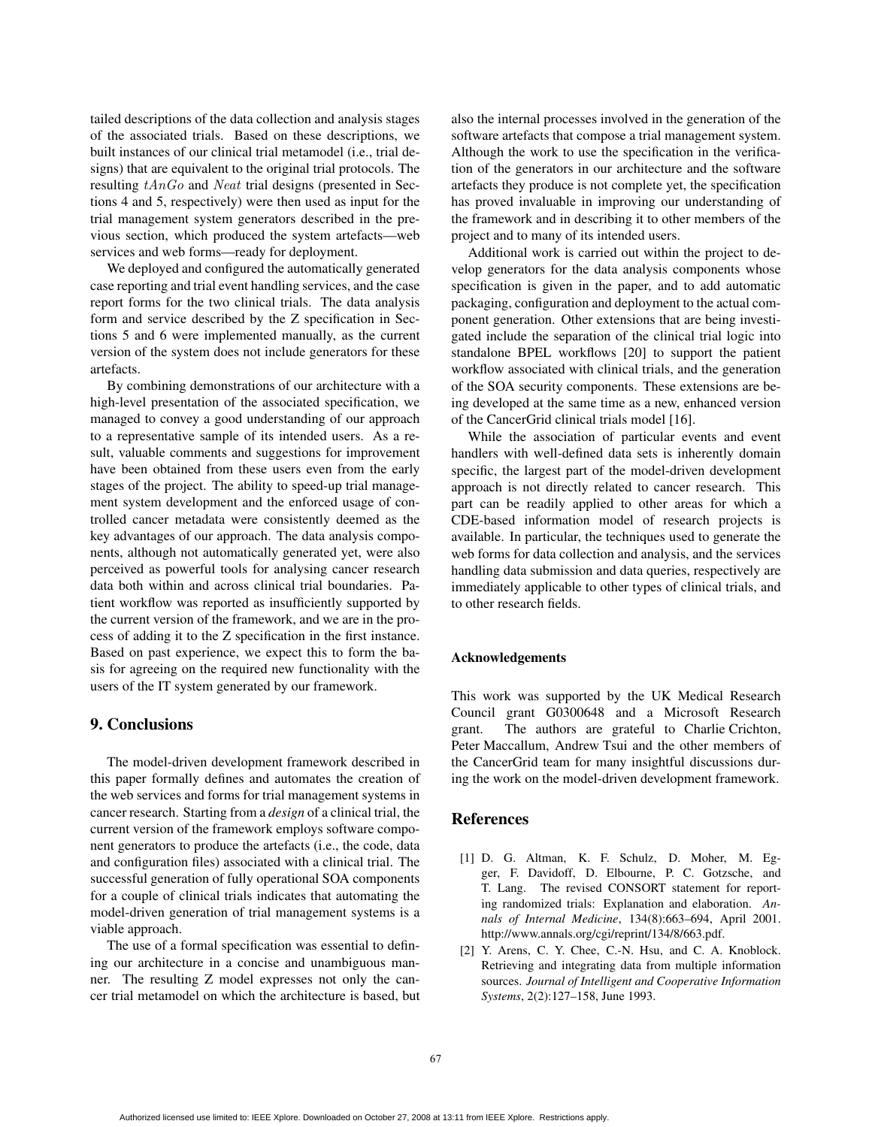tailed descriptions of the data collection and analysis stages of the associated trials. Based on these descriptions, we built instances of our clinical trial metamodel (i.e., trial designs) that are equivalent to the original trial protocols. The resulting tAnGo and Neat trial designs (presented in Sections 4 and 5, respectively) were then used as input for the trial management system generators described in the previous section, which produced the system artefacts—web services and web forms—ready for deployment.

We deployed and configured the automatically generated case reporting and trial event handling services, and the case report forms for the two clinical trials. The data analysis form and service described by the Z specification in Sections 5 and 6 were implemented manually, as the current version of the system does not include generators for these artefacts.

By combining demonstrations of our architecture with a high-level presentation of the associated specification, we managed to convey a good understanding of our approach to a representative sample of its intended users. As a result, valuable comments and suggestions for improvement have been obtained from these users even from the early stages of the project. The ability to speed-up trial management system development and the enforced usage of controlled cancer metadata were consistently deemed as the key advantages of our approach. The data analysis components, although not automatically generated yet, were also perceived as powerful tools for analysing cancer research data both within and across clinical trial boundaries. Patient workflow was reported as insufficiently supported by the current version of the framework, and we are in the process of adding it to the Z specification in the first instance. Based on past experience, we expect this to form the basis for agreeing on the required new functionality with the users of the IT system generated by our framework.

### 9. Conclusions

The model-driven development framework described in this paper formally defines and automates the creation of the web services and forms for trial management systems in cancer research. Starting from a *design* of a clinical trial, the current version of the framework employs software component generators to produce the artefacts (i.e., the code, data and configuration files) associated with a clinical trial. The successful generation of fully operational SOA components for a couple of clinical trials indicates that automating the model-driven generation of trial management systems is a viable approach.

The use of a formal specification was essential to defining our architecture in a concise and unambiguous manner. The resulting Z model expresses not only the cancer trial metamodel on which the architecture is based, but

also the internal processes involved in the generation of the software artefacts that compose a trial management system. Although the work to use the specification in the verification of the generators in our architecture and the software artefacts they produce is not complete yet, the specification has proved invaluable in improving our understanding of the framework and in describing it to other members of the project and to many of its intended users.

Additional work is carried out within the project to develop generators for the data analysis components whose specification is given in the paper, and to add automatic packaging, configuration and deployment to the actual component generation. Other extensions that are being investigated include the separation of the clinical trial logic into standalone BPEL workflows [20] to support the patient workflow associated with clinical trials, and the generation of the SOA security components. These extensions are being developed at the same time as a new, enhanced version of the CancerGrid clinical trials model [16].

While the association of particular events and event handlers with well-defined data sets is inherently domain specific, the largest part of the model-driven development approach is not directly related to cancer research. This part can be readily applied to other areas for which a CDE-based information model of research projects is available. In particular, the techniques used to generate the web forms for data collection and analysis, and the services handling data submission and data queries, respectively are immediately applicable to other types of clinical trials, and to other research fields.

#### Acknowledgements

This work was supported by the UK Medical Research Council grant G0300648 and a Microsoft Research grant. The authors are grateful to Charlie Crichton, Peter Maccallum, Andrew Tsui and the other members of the CancerGrid team for many insightful discussions during the work on the model-driven development framework.

### References

- [1] D. G. Altman, K. F. Schulz, D. Moher, M. Egger, F. Davidoff, D. Elbourne, P. C. Gotzsche, and T. Lang. The revised CONSORT statement for reporting randomized trials: Explanation and elaboration. *Annals of Internal Medicine*, 134(8):663–694, April 2001. http://www.annals.org/cgi/reprint/134/8/663.pdf.
- [2] Y. Arens, C. Y. Chee, C.-N. Hsu, and C. A. Knoblock. Retrieving and integrating data from multiple information sources. *Journal of Intelligent and Cooperative Information Systems*, 2(2):127–158, June 1993.